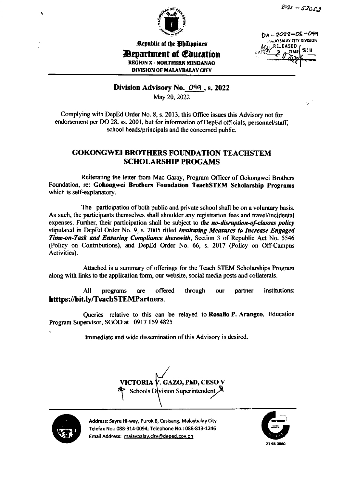



Republic of the Ohilippines

**Department of Education** 

DA-2022-05-049 *IRALAYBALAY CITY DIVISION* RFIFASED

**REGION X - NORTHERN MINDANAO DIVISION OF MALAYBALAY CITY** 

Division Advisory No. 049, s. 2022

May 20, 2022

Complying with DepEd Order No. 8, s. 2013, this Office issues this Advisory not for endorsement per DO 28, ss. 2001, but for information of DepEd officials, personnel/staff, school heads/principals and the concerned public.

## **GOKONGWEI BROTHERS FOUNDATION TEACHSTEM SCHOLARSHIP PROGAMS**

Reiterating the letter from Mac Garay, Program Officer of Gokongwei Brothers Foundation, re: Gokongwei Brothers Foundation TeachSTEM Scholarship Programs which is self-explanatory.

The participation of both public and private school shall be on a voluntary basis. As such, the participants themselves shall shoulder any registration fees and travel/incidental expenses. Further, their participation shall be subject to the no-disruption-of-classes policy stipulated in DepEd Order No. 9, s. 2005 titled Instituting Measures to Increase Engaged Time-on-Task and Ensuring Compliance therewith, Section 3 of Republic Act No. 5546 (Policy on Contributions), and DepEd Order No. 66, s. 2017 (Policy on Off-Campus Activities).

Attached is a summary of offerings for the Teach STEM Scholarships Program along with links to the application form, our website, social media posts and collaterals.

All offered through institutions: programs are our partner htttps://bit.ly/TeachSTEMPartners.

Queries relative to this can be relayed to Rosalio P. Arangeo, Education Program Supervisor, SGOD at 0917 159 4825

Immediate and wide dissemination of this Advisory is desired.

VICTORIA <sup>†</sup> **V. GAZO, PhD, CESO V** Schools Division Superintendent



Address: Sayre Hi-way, Purok 6, Casisang, Malaybalay City Telefax No.: 088-314-0094; Telephone No.: 088-813-1246 Email Address: malaybalay.city@deped.gov.ph

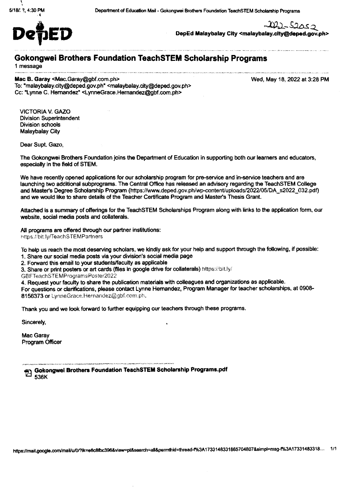

 $202 - 52052$ 

DepEd Malaybalay City <malaybalay.city@deped.gov.ph>

## **Gokongwei Brothers Foundation TeachSTEM Scholarship Programs**

1 message

Mac B. Garay <Mac.Garay@gbf.com.ph> To: "malaybalay.city@deped.gov.ph" <malaybalay.city@deped.gov.ph> Cc: "Lynne C. Hemandez" <LynneGrace.Hemandez@obf.com.ph>

Wed, May 18, 2022 at 3:28 PM

**VICTORIA V. GAZO Division Superintendent Division schools** Malaybalay City

Dear Supt. Gazo.

The Gokongwei Brothers Foundation joins the Department of Education in supporting both our learners and educators, especially in the field of STEM.

We have recently opened applications for our scholarship program for pre-service and in-service teachers and are launching two additional subprograms. The Central Office has released an advisory regarding the TeachSTEM College and Master's Degree Scholarship Program (https://www.deped.gov.ph/wp-content/uploads/2022/05/DA s2022 032.pdf) and we would like to share details of the Teacher Certificate Program and Master's Thesis Grant.

Attached is a summary of offerings for the TeachSTEM Scholarships Program along with links to the application form, our website, social media posts and collaterals.

All programs are offered through our partner institutions: https://bit.ly/TeachSTEMPartners

To help us reach the most deserving scholars, we kindly ask for your help and support through the following, if possible:

1. Share our social media posts via your division's social media page

2. Forward this email to your students/faculty as applicable

3. Share or print posters or art cards (files in google drive for collaterals) https://bit.ly/

GBFTeachSTEMProgramsPoster2022

4. Request your faculty to share the publication materials with colleagues and organizations as applicable.

For questions or clarifications, please contact Lynne Hernandez, Program Manager for teacher scholarships, at 0908-8156373 or LynneGrace.Hernandez@gbf.com.ph.

Thank you and we look forward to further equipping our teachers through these programs.

Sincerely,

Mac Garav **Program Officer**